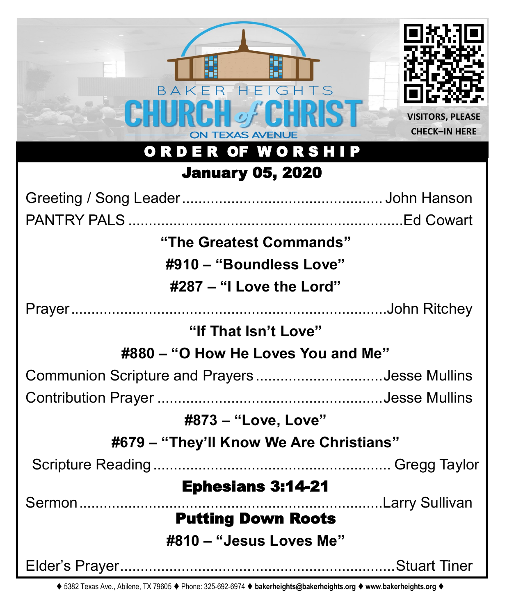| <b>HEIGHTS</b><br>R<br><b>TEXAS AVENUE</b><br>ORDER OF WORSH<br><b>IP</b> | <b>VISITORS, PLEASE</b><br><b>CHECK-IN HERE</b> |  |
|---------------------------------------------------------------------------|-------------------------------------------------|--|
| <b>January 05, 2020</b>                                                   |                                                 |  |
|                                                                           |                                                 |  |
|                                                                           |                                                 |  |
| "The Greatest Commands"                                                   |                                                 |  |
| #910 – "Boundless Love"                                                   |                                                 |  |
| #287 – "I Love the Lord"                                                  |                                                 |  |
|                                                                           |                                                 |  |
| "If That Isn't Love"                                                      |                                                 |  |
| #880 – "O How He Loves You and Me"                                        |                                                 |  |
| Communion Scripture and PrayersJesse Mullins                              |                                                 |  |
|                                                                           |                                                 |  |
| #873 - "Love, Love"                                                       |                                                 |  |
| #679 - "They'll Know We Are Christians"                                   |                                                 |  |
|                                                                           |                                                 |  |
| <b>Ephesians 3:14-21</b>                                                  |                                                 |  |
| <b>Putting Down Roots</b>                                                 | Larry Sullivan                                  |  |
| #810 - "Jesus Loves Me"                                                   |                                                 |  |
|                                                                           |                                                 |  |

⧫ 5382 Texas Ave., Abilene, TX 79605 ⧫ Phone: 325-692-6974 ⧫ **bakerheights@bakerheights.org** ⧫ **www.bakerheights.org** ⧫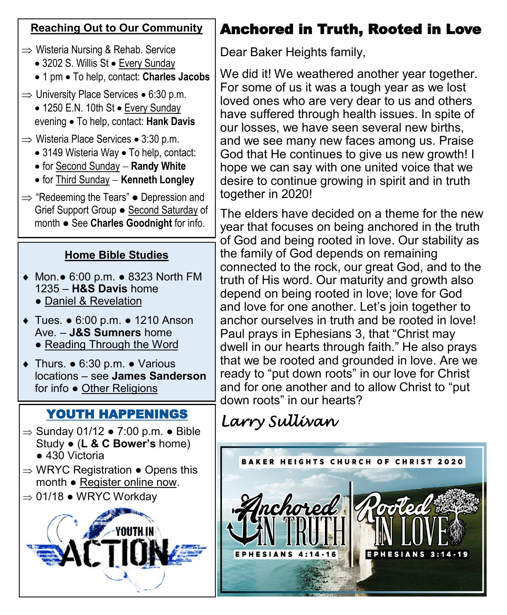#### **Reaching Out to Our Community**

- $\Rightarrow$  Wisteria Nursing & Rehab. Service
	- 3202 S. Willis St Every Sunday
	- 1 pm To help, contact: **Charles Jacobs**
- $\Rightarrow$  University Place Services 6:30 p.m.
	- 1250 E.N. 10th St Every Sunday evening • To help, contact: **Hank Davis**
- $\Rightarrow$  Wisteria Place Services 3:30 p.m.
	- 3149 Wisteria Way To help, contact:
	- for Second Sunday − **Randy White**
	- for Third Sunday − **Kenneth Longley**
- $\Rightarrow$  "Redeeming the Tears"  $\bullet$  Depression and Grief Support Group ● Second Saturday of month ● See **Charles Goodnight** for info.

### **Home Bible Studies**

- Mon.● 6:00 p.m. 8323 North FM 1235 – **H&S Davis** home
	- Daniel & Revelation
- Tues. 6:00 p.m. 1210 Anson Ave. – **J&S Sumners** home • Reading Through the Word
	-
- Thurs. 6:30 p.m. Various locations – see **James Sanderson**  for info ● Other Religions

# YOUTH HAPPENINGS

- $\Rightarrow$  Sunday 01/12  $\bullet$  7:00 p.m.  $\bullet$  Bible Study ● (**L & C Bower's** home) ● 430 Victoria
- $\Rightarrow$  WRYC Registration  $\bullet$  Opens this month ● Register online now.
- $\Rightarrow$  01/18  $\bullet$  WRYC Workdav



# Anchored in Truth, Rooted in Love

Dear Baker Heights family,

We did it! We weathered another year together. For some of us it was a tough year as we lost loved ones who are very dear to us and others have suffered through health issues. In spite of our losses, we have seen several new births, and we see many new faces among us. Praise God that He continues to give us new growth! I hope we can say with one united voice that we desire to continue growing in spirit and in truth together in 2020!

The elders have decided on a theme for the new year that focuses on being anchored in the truth of God and being rooted in love. Our stability as the family of God depends on remaining connected to the rock, our great God, and to the truth of His word. Our maturity and growth also depend on being rooted in love; love for God and love for one another. Let's join together to anchor ourselves in truth and be rooted in love! Paul prays in Ephesians 3, that "Christ may dwell in our hearts through faith." He also prays that we be rooted and grounded in love. Are we ready to "put down roots" in our love for Christ and for one another and to allow Christ to "put down roots" in our hearts?

# *Larry Sullivan*

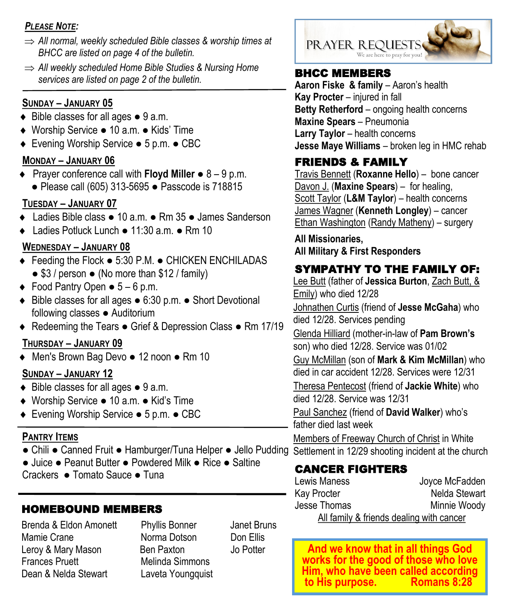#### *PLEASE NOTE:*

- *All normal, weekly scheduled Bible classes & worship times at BHCC are listed on page 4 of the bulletin.*
- *All weekly scheduled Home Bible Studies & Nursing Home services are listed on page 2 of the bulletin.*

#### **SUNDAY – JANUARY 05**

- ◆ Bible classes for all ages 9 a.m.
- Worship Service 10 a.m. Kids' Time
- Evening Worship Service 5 p.m. CBC

#### **MONDAY – JANUARY 06**

 Prayer conference call with **Floyd Miller** ● 8 – 9 p.m. ● Please call (605) 313-5695 ● Passcode is 718815

#### **TUESDAY – JANUARY 07**

- Ladies Bible class 10 a.m. Rm 35 James Sanderson
- Ladies Potluck Lunch 11:30 a.m. Rm 10

#### **WEDNESDAY – JANUARY 08**

- Feeding the Flock 5:30 P.M. CHICKEN ENCHILADAS ● \$3 / person ● (No more than \$12 / family)
- $\bullet$  Food Pantry Open  $\bullet$  5 6 p.m.
- Bible classes for all ages 6:30 p.m. Short Devotional following classes • Auditorium
- ◆ Redeeming the Tears Grief & Depression Class Rm 17/19

#### **THURSDAY – JANUARY 09**

Men's Brown Bag Devo ● 12 noon ● Rm 10

#### **SUNDAY – JANUARY 12**

- $\bullet$  Bible classes for all ages  $\bullet$  9 a.m.
- Worship Service 10 a.m. Kid's Time
- Evening Worship Service 5 p.m. CBC

#### **PANTRY ITEMS**

- Chili Canned Fruit Hamburger/Tuna Helper Jello Pudding Settlement in 12/29 shooting incident at the church
- Juice Peanut Butter Powdered Milk Rice Saltine
- Crackers Tomato Sauce Tuna

#### HOMEBOUND MEMBERS

Brenda & Eldon Amonett Phyllis Bonner Janet Bruns Mamie Crane **Norma Dotson** Don Ellis Leroy & Mary Mason Ben Paxton Jo Potter Frances Pruett Melinda Simmons Dean & Nelda Stewart Laveta Youngquist



#### BHCC MEMBERS

**Aaron Fiske & family - Aaron's health Kay Procter** – injured in fall **Betty Retherford** – ongoing health concerns **Maxine Spears** – Pneumonia **Larry Taylor – health concerns Jesse Maye Williams** – broken leg in HMC rehab

### FRIENDS & FAMILY

Travis Bennett (**Roxanne Hello**) – bone cancer Davon J. (**Maxine Spears**) – for healing, Scott Taylor (**L&M Taylor**) – health concerns James Wagner (**Kenneth Longley**) – cancer Ethan Washington (Randy Matheny) – surgery

**All Missionaries, All Military & First Responders**

#### SYMPATHY TO THE FAMILY OF:

Lee Butt (father of **Jessica Burton**, Zach Butt, & Emily) who died 12/28

Johnathen Curtis (friend of **Jesse McGaha**) who died 12/28. Services pending

Glenda Hilliard (mother-in-law of **Pam Brown's**  son) who died 12/28. Service was 01/02

Guy McMillan (son of **Mark & Kim McMillan**) who

died in car accident 12/28. Services were 12/31

Theresa Pentecost (friend of **Jackie White**) who died 12/28. Service was 12/31

Paul Sanchez (friend of **David Walker**) who's father died last week

Members of Freeway Church of Christ in White

#### CANCER FIGHTERS

| Lewis Maness | Joyce McFadden                           |
|--------------|------------------------------------------|
| Kay Procter  | Nelda Stewart                            |
| Jesse Thomas | Minnie Woody                             |
|              | All family & friends dealing with cancer |

**And we know that in all things God works for the good of those who love Him, who have been called according**  to His purpose.